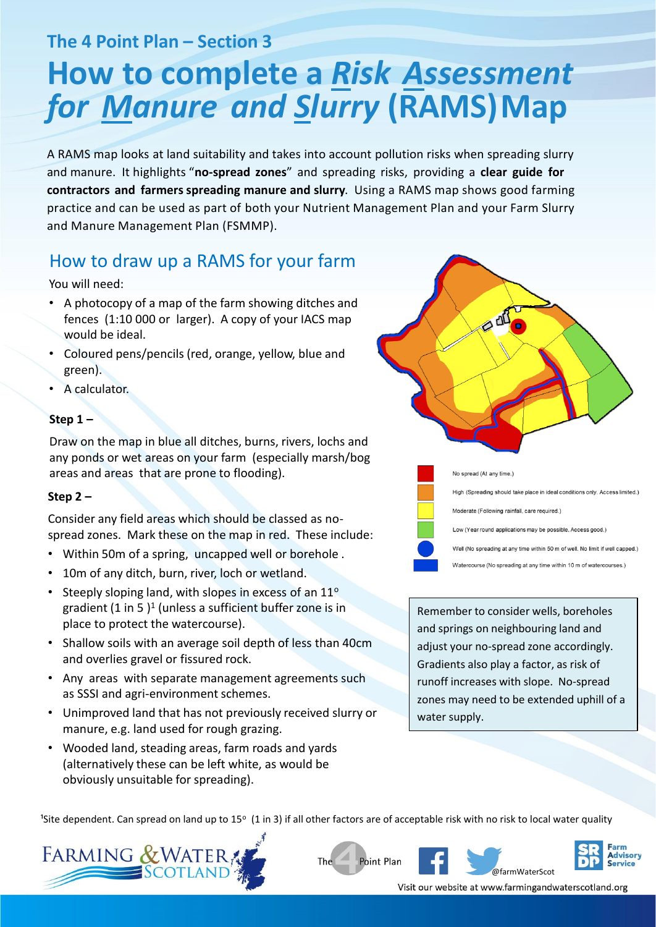**The 4 Point Plan – Section 3**

# **How to complete a** *Risk Assessment* **for Manure and Slurry (RAMS) Map**

A RAMS map looks at land suitability and takes into account pollution risks when spreading slurry and manure. It highlights "**no-spread zones**" and spreading risks, providing a **clear guide for contractors and farmers spreading manure and slurry**. Using a RAMS map shows good farming practice and can be used as part of both your Nutrient Management Plan and your Farm Slurry and Manure Management Plan (FSMMP).

## How to draw up a RAMS for your farm

You will need:

- A photocopy of a map of the farm showing ditches and fences (1:10 000 or larger). A copy of your IACS map would be ideal.
- Coloured pens/pencils (red, orange, yellow, blue and green).
- A calculator.

#### **Step 1 –**

Draw on the map in blue all ditches, burns, rivers, lochs and any ponds or wet areas on your farm (especially marsh/bog areas and areas that are prone to flooding).

### **Step 2 –**

Consider any field areas which should be classed as nospread zones. Mark these on the map in red. These include:

- Within 50m of a spring, uncapped well or borehole .
- 10m of any ditch, burn, river, loch or wetland.
- Steeply sloping land, with slopes in excess of an 11° gradient (1 in 5 )<sup>1</sup> (unless a sufficient buffer zone is in place to protect the watercourse).
- Shallow soils with an average soil depth of less than 40cm and overlies gravel or fissured rock.
- Any areas with separate management agreements such as SSSI and agri-environment schemes.
- Unimproved land that has not previously received slurry or manure, e.g. land used for rough grazing.
- Wooded land, steading areas, farm roads and yards (alternatively these can be left white, as would be obviously unsuitable for spreading).

 $\alpha$ No spread (At any time.)



Remember to consider wells, boreholes and springs on neighbouring land and adjust your no-spread zone accordingly. Gradients also play a factor, as risk of runoff increases with slope. No-spread zones may need to be extended uphill of a water supply.

<sup>1</sup>Site dependent. Can spread on land up to 15° (1 in 3) if all other factors are of acceptable risk with no risk to local water quality









Visit our website at www.farmingandwaterscotland.org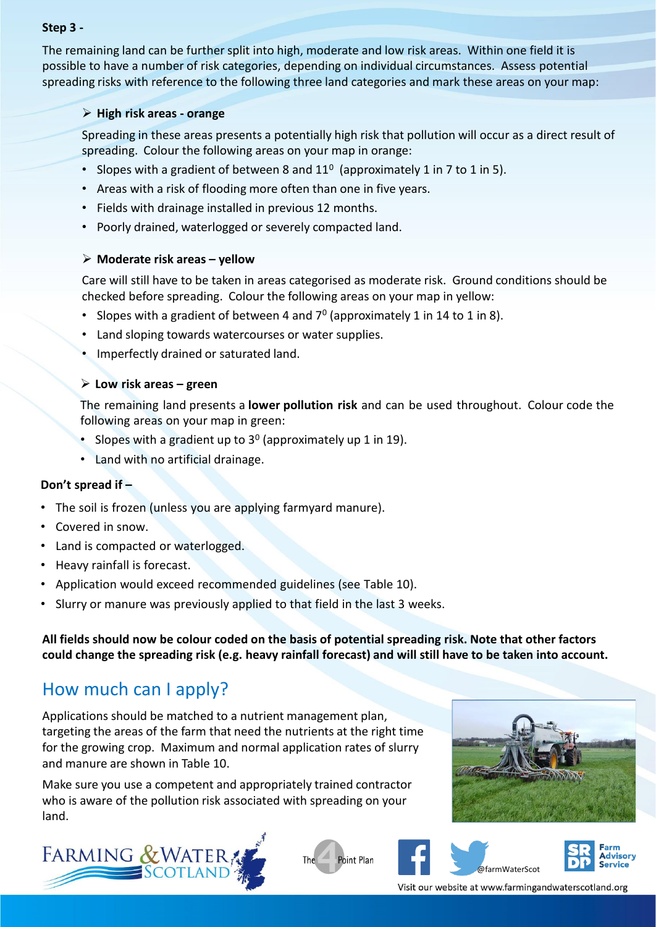#### **Step 3 -**

The remaining land can be further split into high, moderate and low risk areas. Within one field it is possible to have a number of risk categories, depending on individual circumstances. Assess potential spreading risks with reference to the following three land categories and mark these areas on your map:

#### ➢ **High risk areas - orange**

Spreading in these areas presents a potentially high risk that pollution will occur as a direct result of spreading. Colour the following areas on your map in orange:

- Slopes with a gradient of between 8 and  $11^0$  (approximately 1 in 7 to 1 in 5).
- Areas with a risk of flooding more often than one in five years.
- Fields with drainage installed in previous 12 months.
- Poorly drained, waterlogged or severely compacted land.

#### ➢ **Moderate risk areas – yellow**

Care will still have to be taken in areas categorised as moderate risk. Ground conditions should be checked before spreading. Colour the following areas on your map in yellow:

- Slopes with a gradient of between 4 and  $7^{\circ}$  (approximately 1 in 14 to 1 in 8).
- Land sloping towards watercourses or water supplies.
- Imperfectly drained or saturated land.

#### ➢ **Low risk areas – green**

The remaining land presents a **lower pollution risk** and can be used throughout. Colour code the following areas on your map in green:

- Slopes with a gradient up to  $3^0$  (approximately up 1 in 19).
- Land with no artificial drainage.

### **Don't spread if –**

- The soil is frozen (unless you are applying farmyard manure).
- Covered in snow.
- Land is compacted or waterlogged.
- Heavy rainfall is forecast.
- Application would exceed recommended guidelines (see Table 10).
- Slurry or manure was previously applied to that field in the last 3 weeks.

**All fields should now be colour coded on the basis of potential spreading risk. Note that other factors could change the spreading risk (e.g. heavy rainfall forecast) and will still have to be taken into account.**

### How much can I apply?

Applications should be matched to a nutrient management plan, targeting the areas of the farm that need the nutrients at the right time for the growing crop. Maximum and normal application rates of slurry and manure are shown in Table 10.

Make sure you use a competent and appropriately trained contractor who is aware of the pollution risk associated with spreading on your land.









Visit our website at www.farmingandwaterscotland.org